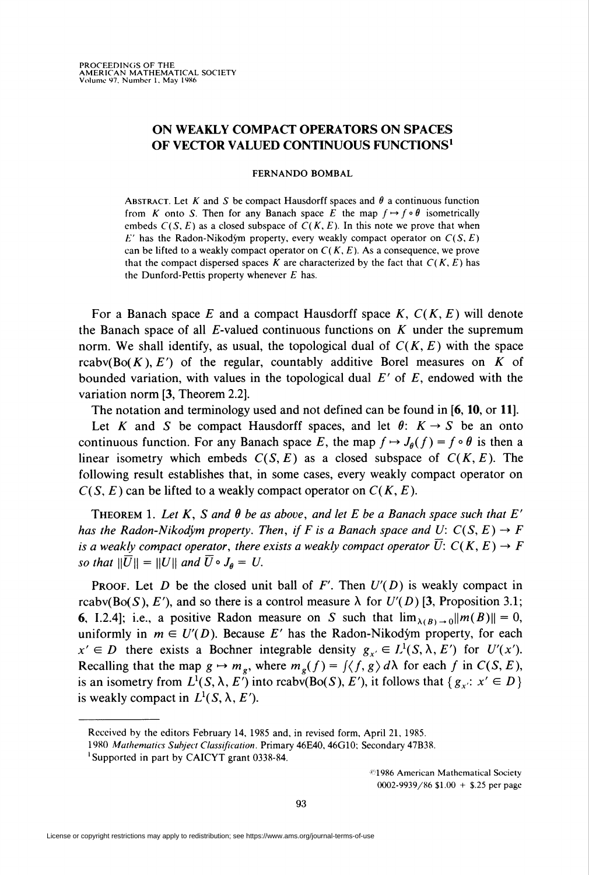## ON WEAKLY COMPACT OPERATORS ON SPACES OF VECTOR VALUED CONTINUOUS FUNCTIONS<sup>1</sup>

## FERNANDO BOMBAL

ABSTRACT. Let K and S be compact Hausdorff spaces and  $\theta$  a continuous function from K onto S. Then for any Banach space E the map  $f \mapsto f \circ \theta$  isometrically embeds  $C(S, E)$  as a closed subspace of  $C(K, E)$ . In this note we prove that when  $E'$  has the Radon-Nikodým property, every weakly compact operator on  $C(S, E)$ can be lifted to a weakly compact operator on  $C(K, E)$ . As a consequence, we prove that the compact dispersed spaces K are characterized by the fact that  $C(K, E)$  has the Dunford-Pettis property whenever  $E$  has.

For a Banach space E and a compact Hausdorff space K,  $C(K, E)$  will denote the Banach space of all  $E$ -valued continuous functions on  $K$  under the supremum norm. We shall identify, as usual, the topological dual of  $C(K, E)$  with the space rcabv( $B\circ (K), E'$ ) of the regular, countably additive Borel measures on K of bounded variation, with values in the topological dual  $E'$  of  $E$ , endowed with the variation norm [3, Theorem 2.2].

The notation and terminology used and not defined can be found in [6, 10, or 11].

Let K and S be compact Hausdorff spaces, and let  $\theta$ :  $K \rightarrow S$  be an onto continuous function. For any Banach space E, the map  $f \mapsto J_a(f) = f \circ \theta$  is then a linear isometry which embeds  $C(S, E)$  as a closed subspace of  $C(K, E)$ . The following result establishes that, in some cases, every weakly compact operator on  $C(S, E)$  can be lifted to a weakly compact operator on  $C(K, E)$ .

THEOREM 1. Let K, S and  $\theta$  be as above, and let E be a Banach space such that E' has the Radon-Nikodym property. Then, if F is a Banach space and U:  $C(S, E) \rightarrow F$ is a weakly compact operator, there exists a weakly compact operator  $\overline{U}: C(K, E) \to F$ so that  $\|\overline{U}\| = \|U\|$  and  $\overline{U} \circ J_{\theta} = U$ .

**PROOF.** Let D be the closed unit ball of F'. Then  $U'(D)$  is weakly compact in rcabv(Bo(S), E'), and so there is a control measure  $\lambda$  for  $U'(D)$  [3, Proposition 3.1; 6, I.2.4]; i.e., a positive Radon measure on S such that  $\lim_{\lambda(B)\to 0}||m(B)|| = 0$ , uniformly in  $m \in U'(D)$ . Because E' has the Radon-Nikodym property, for each  $x' \in D$  there exists a Bochner integrable density  $g_{x'} \in L^1(S, \lambda, E')$  for  $U'(x')$ . Recalling that the map  $g \mapsto m_g$ , where  $m_g(f) = \frac{f}{f, g} \frac{\partial \lambda}{\partial x}$  for each f in  $C(S, E)$ , is an isometry from  $L^1(S, \lambda, E')$  into rcabv(Bo(S), E'), it follows that { $g_x$ :  $x' \in D$  } is weakly compact in  $L^1(S, \lambda, E')$ .

'1986 American Mathematical Society 0002-9939/86 \$1.00 + \$.25 per page

93

Received by the editors February 14, 1985 and, in revised form, April 21, 1985.

<sup>1980</sup> Mathematics Subject Classification. Primary 46E40, 46G10; Secondary 47B38.

<sup>&#</sup>x27;Supported in part by CAICYT grant 0338-84.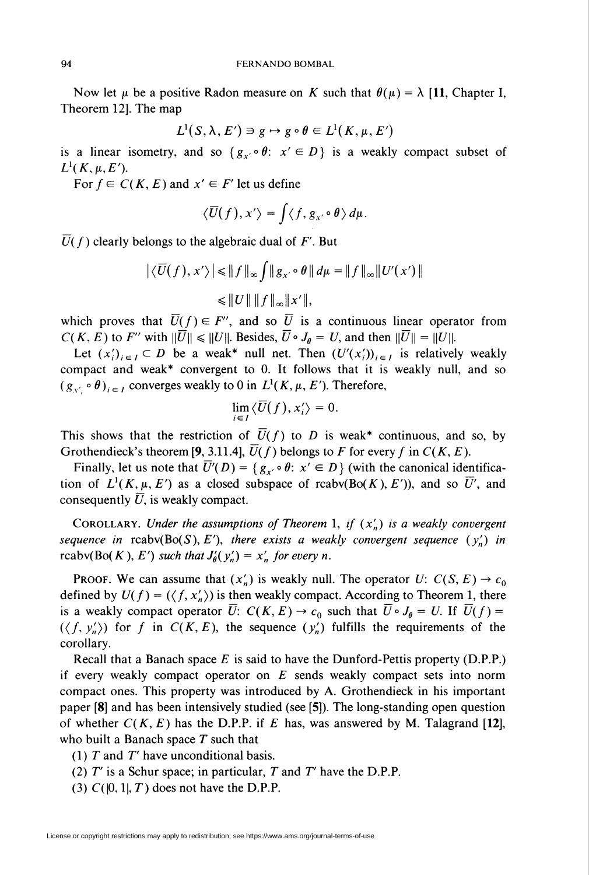Now let  $\mu$  be a positive Radon measure on K such that  $\theta(\mu) = \lambda$  [11, Chapter I, Theorem 12]. The map

$$
L^1(S, \lambda, E') \ni g \mapsto g \circ \theta \in L^1(K, \mu, E')
$$

is a linear isometry, and so  $\{g_{x'}\circ \theta: x' \in D\}$  is a weakly compact subset of  $L^1(K,\mu,E').$ 

For  $f \in C(K, E)$  and  $x' \in F'$  let us define

$$
\langle \overline{U}(f), x' \rangle = \int \langle f, g_{x'} \circ \theta \rangle d\mu.
$$

 $\overline{U}(f)$  clearly belongs to the algebraic dual of F'. But

$$
\left| \langle \overline{U}(f), x' \rangle \right| \leq \|f\|_{\infty} \int \|g_{x'} \circ \theta\| d\mu = \|f\|_{\infty} \|U'(x')\|
$$
  

$$
\leq \|U\| \|f\|_{\infty} \|x'\|,
$$

which proves that  $\overline{U}(f) \in F''$ , and so  $\overline{U}$  is a continuous linear operator from  $C(K, E)$  to F'' with  $\|\overline{U}\| \leq \|U\|$ . Besides,  $\overline{U} \circ J_{\theta} = U$ , and then  $\|\overline{U}\| = \|U\|$ .

Let  $(x_i')_{i \in I} \subset D$  be a weak\* null net. Then  $(U'(x_i'))_{i \in I}$  is relatively weakly compact and weak\* convergent to 0. It follows that it is weakly null, and so  $(g_{x'} \circ \theta)_{i \in I}$  converges weakly to 0 in  $L^1(K, \mu, E')$ . Therefore,

$$
\lim_{i\in I}\langle\overline{U}(f),x_{i}'\rangle=0.
$$

This shows that the restriction of  $\overline{U}(f)$  to D is weak\* continuous, and so, by Grothendieck's theorem [9, 3.11.4],  $\overline{U}(f)$  belongs to F for every f in  $C(K, E)$ .

Finally, let us note that  $\overline{U}'(D) = \{g_{x'} \circ \theta : x' \in D\}$  (with the canonical identification of  $L^1(K, \mu, E')$  as a closed subspace of rcabv(Bo(K), E'), and so  $\overline{U}'$ , and consequently  $\overline{U}$ , is weakly compact.

COROLLARY. Under the assumptions of Theorem 1, if  $(x'_n)$  is a weakly convergent sequence in rcabv( $Bo(S), E'$ ), there exists a weakly convergent sequence  $(y'_n)$  in rcabv(Bo(K), E') such that  $J'_{\theta}(y'_n) = x'_n$  for every n.

PROOF. We can assume that  $(x'_n)$  is weakly null. The operator  $U: C(S, E) \rightarrow c_0$ defined by  $U(f) = (\langle f, x'_n \rangle)$  is then weakly compact. According to Theorem 1, there is a weakly compact operator  $\overline{U}$ :  $C(K, E) \rightarrow c_0$  such that  $\overline{U} \circ J_{\theta} = U$ . If  $\overline{U}(f) =$  $(\langle f, y'_n \rangle)$  for f in  $C(K, E)$ , the sequence  $(y'_n)$  fulfills the requirements of the corollary.

Recall that a Banach space  $E$  is said to have the Dunford-Pettis property (D.P.P.) if every weakly compact operator on  $E$  sends weakly compact sets into norm compact ones. This property was introduced by A. Grothendieck in his important paper [8] and has been intensively studied (see [5]). The long-standing open question of whether  $C(K, E)$  has the D.P.P. if E has, was answered by M. Talagrand [12], who built a Banach space  $T$  such that

(1)  $T$  and  $T'$  have unconditional basis.

- (2)  $T'$  is a Schur space; in particular,  $T$  and  $T'$  have the D.P.P.
- (3)  $C([0, 1], T)$  does not have the D.P.P.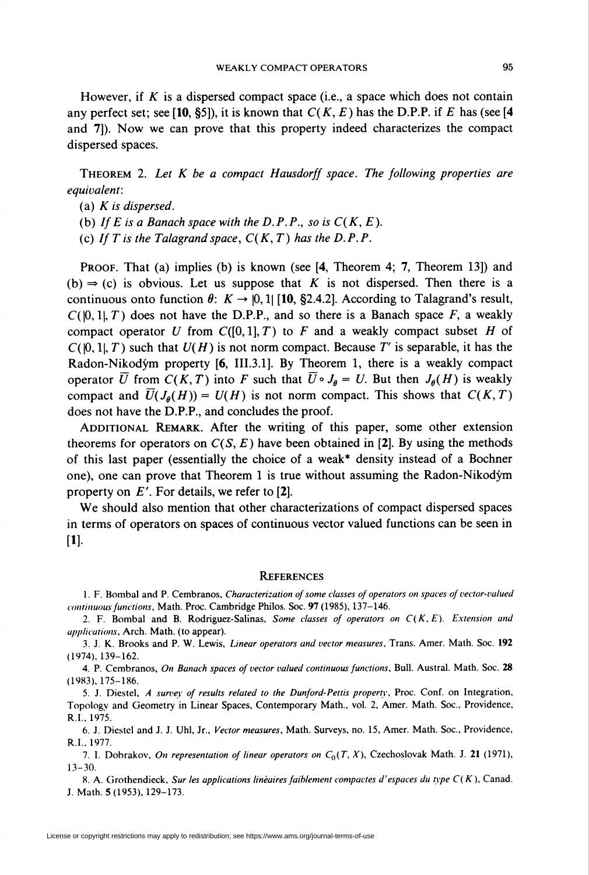However, if K is a dispersed compact space (i.e., a space which does not contain any perfect set; see [10, §5]), it is known that  $C(K, E)$  has the D.P.P. if E has (see [4] and 7]). Now we can prove that this property indeed characterizes the compact dispersed spaces.

THEOREM 2. Let  $K$  be a compact Hausdorff space. The following properties are equivalent:

(a)  $K$  is dispersed.

(b) If E is a Banach space with the D.P.P., so is  $C(K, E)$ .

(c) If T is the Talagrand space,  $C(K, T)$  has the D.P.P.

PROOF. That (a) implies (b) is known (see [4, Theorem 4; 7, Theorem 13]) and (b)  $\Rightarrow$  (c) is obvious. Let us suppose that K is not dispersed. Then there is a continuous onto function  $\theta: K \to [0,1]$  [10, §2.4.2]. According to Talagrand's result,  $C([0,1], T)$  does not have the D.P.P., and so there is a Banach space F, a weakly compact operator U from  $C([0,1], T)$  to F and a weakly compact subset H of  $C([0,1], T)$  such that  $U(H)$  is not norm compact. Because T' is separable, it has the Radon-Nikodym property [6, III.3.1]. By Theorem 1, there is a weakly compact operator  $\overline{U}$  from  $C(K,T)$  into F such that  $\overline{U} \circ J_{\theta} = U$ . But then  $J_{\theta}(H)$  is weakly compact and  $\overline{U}(J_{\rho}(H)) = U(H)$  is not norm compact. This shows that  $C(K,T)$ does not have the D.P.P., and concludes the proof.

ADDITIONAL REMARK. After the writing of this paper, some other extension theorems for operators on  $C(S, E)$  have been obtained in [2]. By using the methods of this last paper (essentially the choice of a weak\* density instead of a Bochner one), one can prove that Theorem 1 is true without assuming the Radon-Nikodym property on  $E'$ . For details, we refer to [2].

We should also mention that other characterizations of compact dispersed spaces in terms of operators on spaces of continuous vector valued functions can be seen in  $[1]$ .

## **REFERENCES**

1. F. Bombai and P. Cembranos, Characterization of some classes of operators on spaces of vector-valued continuous functions. Math. Proc. Cambridge Philos. Soc. 97 (1985), 137-146.

2. F. Bombal and B. Rodriguez-Salinas, Some classes of operators on  $C(K, E)$ . Extension and applications. Arch. Math, (to appear).

3. I. K. Brooks and P. W. Lewis, Linear operators and vector measures. Trans. Amer. Math. Soc. 192 (1974), 139-162.

4. P. Cembranos, On Banach spaces of vector valued continuous functions, Bull. Austral. Math. Soc. 28 (1983). 175-186.

5. I. Diestel, A survey of results related to the Dunford-Pettis property, Proc. Conf. on Integration, Topology and Geometry in Linear Spaces, Contemporary Math., vol. 2, Amer. Math. Soc, Providence, R.I.. 1975.

6. I. Diestel and I. I. Uhl, Ir., Vector measures, Math. Surveys, no. 15. Amer. Math. Soc, Providence, R.I.. 1977.

7. I. Dobrakov, On representation of linear operators on  $C_0(T, X)$ , Czechoslovak Math. J. 21 (1971), 13-30.

8. A. Grothendieck, Sur les applications linéaires faiblement compactes d'espaces du type  $C(K)$ , Canad. J. Math. 5(1953), 129-173.